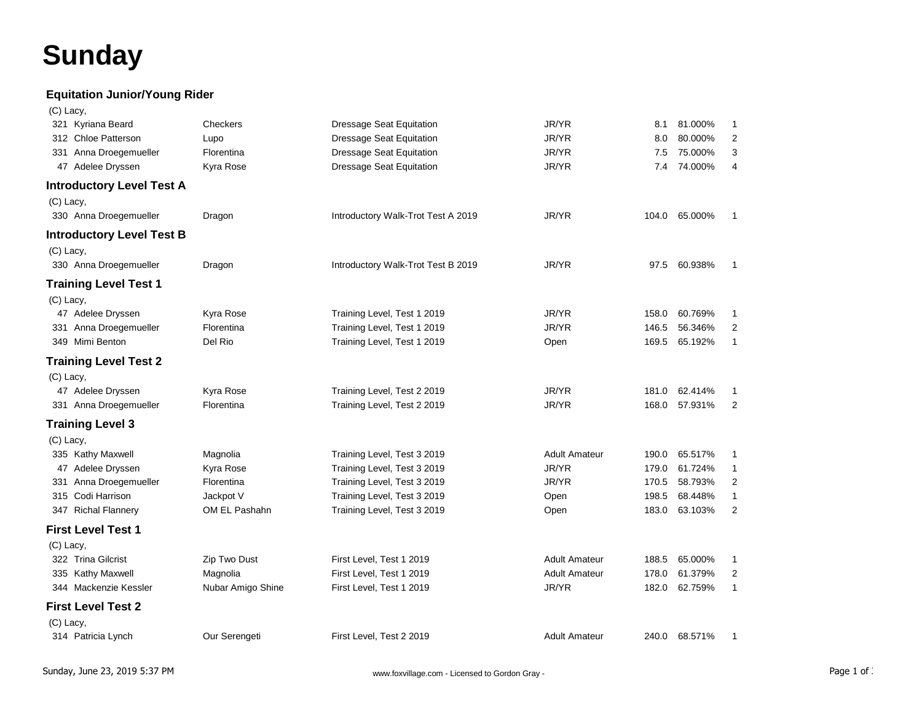# **Sunday**

#### **Equitation Junior/Young Rider**

| (C) Lacy,   |                                  |                   |                                    |                      |       |               |                |
|-------------|----------------------------------|-------------------|------------------------------------|----------------------|-------|---------------|----------------|
|             | 321 Kyriana Beard                | Checkers          | <b>Dressage Seat Equitation</b>    | JR/YR                | 8.1   | 81.000%       | 1              |
|             | 312 Chloe Patterson              | Lupo              | <b>Dressage Seat Equitation</b>    | JR/YR                | 8.0   | 80.000%       | $\overline{2}$ |
|             | 331 Anna Droegemueller           | Florentina        | <b>Dressage Seat Equitation</b>    | JR/YR                | 7.5   | 75.000%       | 3              |
|             | 47 Adelee Dryssen                | Kyra Rose         | <b>Dressage Seat Equitation</b>    | JR/YR                | 7.4   | 74.000%       | 4              |
|             | <b>Introductory Level Test A</b> |                   |                                    |                      |       |               |                |
| (C) Lacy,   |                                  |                   |                                    |                      |       |               |                |
|             | 330 Anna Droegemueller           | Dragon            | Introductory Walk-Trot Test A 2019 | JR/YR                |       | 104.0 65.000% | $\mathbf{1}$   |
|             | <b>Introductory Level Test B</b> |                   |                                    |                      |       |               |                |
| $(C)$ Lacy, |                                  |                   |                                    |                      |       |               |                |
|             | 330 Anna Droegemueller           | Dragon            | Introductory Walk-Trot Test B 2019 | JR/YR                | 97.5  | 60.938%       | 1              |
|             | <b>Training Level Test 1</b>     |                   |                                    |                      |       |               |                |
| $(C)$ Lacy, |                                  |                   |                                    |                      |       |               |                |
|             | 47 Adelee Dryssen                | Kyra Rose         | Training Level, Test 1 2019        | JR/YR                | 158.0 | 60.769%       | 1              |
|             | 331 Anna Droegemueller           | Florentina        | Training Level, Test 1 2019        | JR/YR                | 146.5 | 56.346%       | 2              |
|             | 349 Mimi Benton                  | Del Rio           | Training Level, Test 1 2019        | Open                 | 169.5 | 65.192%       | $\mathbf{1}$   |
|             | <b>Training Level Test 2</b>     |                   |                                    |                      |       |               |                |
| (C) Lacy,   |                                  |                   |                                    |                      |       |               |                |
|             | 47 Adelee Dryssen                | Kyra Rose         | Training Level, Test 2 2019        | JR/YR                | 181.0 | 62.414%       | 1              |
|             | 331 Anna Droegemueller           | Florentina        | Training Level, Test 2 2019        | JR/YR                | 168.0 | 57.931%       | 2              |
|             | <b>Training Level 3</b>          |                   |                                    |                      |       |               |                |
| (C) Lacy,   |                                  |                   |                                    |                      |       |               |                |
|             | 335 Kathy Maxwell                | Magnolia          | Training Level, Test 3 2019        | <b>Adult Amateur</b> | 190.0 | 65.517%       | 1              |
|             | 47 Adelee Dryssen                | Kyra Rose         | Training Level, Test 3 2019        | JR/YR                | 179.0 | 61.724%       | 1              |
|             | 331 Anna Droegemueller           | Florentina        | Training Level, Test 3 2019        | JR/YR                | 170.5 | 58.793%       | 2              |
|             | 315 Codi Harrison                | Jackpot V         | Training Level, Test 3 2019        | Open                 | 198.5 | 68.448%       | 1              |
|             | 347 Richal Flannery              | OM EL Pashahn     | Training Level, Test 3 2019        | Open                 | 183.0 | 63.103%       | 2              |
|             | <b>First Level Test 1</b>        |                   |                                    |                      |       |               |                |
| $(C)$ Lacy, |                                  |                   |                                    |                      |       |               |                |
|             | 322 Trina Gilcrist               | Zip Two Dust      | First Level, Test 1 2019           | <b>Adult Amateur</b> | 188.5 | 65.000%       | 1              |
|             | 335 Kathy Maxwell                | Magnolia          | First Level, Test 1 2019           | <b>Adult Amateur</b> | 178.0 | 61.379%       | 2              |
|             | 344 Mackenzie Kessler            | Nubar Amigo Shine | First Level, Test 1 2019           | JR/YR                | 182.0 | 62.759%       | 1              |
|             | <b>First Level Test 2</b>        |                   |                                    |                      |       |               |                |
| (C) Lacy,   |                                  |                   |                                    |                      |       |               |                |
|             | 314 Patricia Lynch               | Our Serengeti     | First Level, Test 2 2019           | <b>Adult Amateur</b> |       | 240.0 68.571% | 1              |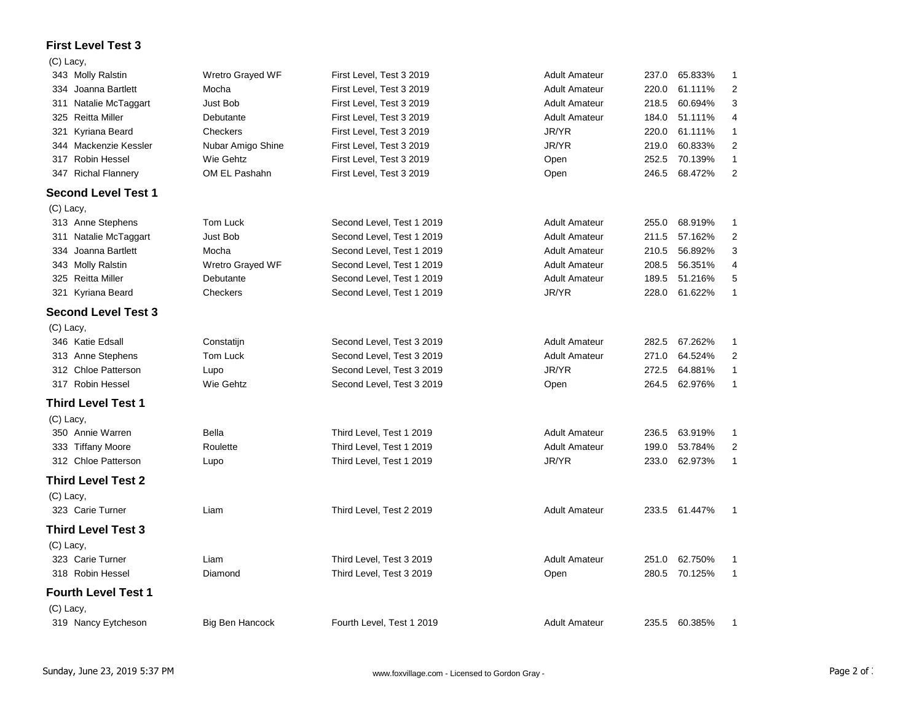### **First Level Test 3**

## $(C)$  Lacy

| $\omega$ , Lacy, |                            |                   |                           |                      |       |               |                |
|------------------|----------------------------|-------------------|---------------------------|----------------------|-------|---------------|----------------|
|                  | 343 Molly Ralstin          | Wretro Grayed WF  | First Level, Test 3 2019  | <b>Adult Amateur</b> | 237.0 | 65.833%       | 1              |
|                  | 334 Joanna Bartlett        | Mocha             | First Level, Test 3 2019  | <b>Adult Amateur</b> | 220.0 | 61.111%       | $\overline{2}$ |
|                  | 311 Natalie McTaggart      | <b>Just Bob</b>   | First Level, Test 3 2019  | <b>Adult Amateur</b> | 218.5 | 60.694%       | 3              |
|                  | 325 Reitta Miller          | Debutante         | First Level, Test 3 2019  | <b>Adult Amateur</b> | 184.0 | 51.111%       | 4              |
|                  | 321 Kyriana Beard          | <b>Checkers</b>   | First Level, Test 3 2019  | JR/YR                | 220.0 | 61.111%       | 1              |
|                  | 344 Mackenzie Kessler      | Nubar Amigo Shine | First Level, Test 3 2019  | JR/YR                | 219.0 | 60.833%       | $\overline{c}$ |
|                  | 317 Robin Hessel           | Wie Gehtz         | First Level, Test 3 2019  | Open                 | 252.5 | 70.139%       | 1              |
|                  | 347 Richal Flannery        | OM EL Pashahn     | First Level, Test 3 2019  | Open                 | 246.5 | 68.472%       | $\overline{c}$ |
|                  | <b>Second Level Test 1</b> |                   |                           |                      |       |               |                |
| (C) Lacy,        |                            |                   |                           |                      |       |               |                |
|                  | 313 Anne Stephens          | Tom Luck          | Second Level, Test 1 2019 | <b>Adult Amateur</b> | 255.0 | 68.919%       | 1              |
|                  | 311 Natalie McTaggart      | Just Bob          | Second Level, Test 1 2019 | <b>Adult Amateur</b> | 211.5 | 57.162%       | $\overline{2}$ |
|                  | 334 Joanna Bartlett        | Mocha             | Second Level, Test 1 2019 | <b>Adult Amateur</b> | 210.5 | 56.892%       | 3              |
|                  | 343 Molly Ralstin          | Wretro Grayed WF  | Second Level, Test 1 2019 | <b>Adult Amateur</b> | 208.5 | 56.351%       | 4              |
|                  | 325 Reitta Miller          | Debutante         | Second Level, Test 1 2019 | <b>Adult Amateur</b> | 189.5 | 51.216%       | 5              |
|                  | 321 Kyriana Beard          | Checkers          | Second Level, Test 1 2019 | JR/YR                | 228.0 | 61.622%       | 1              |
|                  | <b>Second Level Test 3</b> |                   |                           |                      |       |               |                |
| (C) Lacy,        |                            |                   |                           |                      |       |               |                |
|                  | 346 Katie Edsall           | Constatijn        | Second Level, Test 3 2019 | <b>Adult Amateur</b> | 282.5 | 67.262%       | 1              |
|                  | 313 Anne Stephens          | Tom Luck          | Second Level, Test 3 2019 | <b>Adult Amateur</b> | 271.0 | 64.524%       | 2              |
|                  | 312 Chloe Patterson        | Lupo              | Second Level, Test 3 2019 | JR/YR                | 272.5 | 64.881%       | 1              |
|                  | 317 Robin Hessel           | Wie Gehtz         | Second Level, Test 3 2019 | Open                 | 264.5 | 62.976%       | $\mathbf{1}$   |
|                  | <b>Third Level Test 1</b>  |                   |                           |                      |       |               |                |
| (C) Lacy,        |                            |                   |                           |                      |       |               |                |
|                  | 350 Annie Warren           | Bella             | Third Level, Test 1 2019  | <b>Adult Amateur</b> | 236.5 | 63.919%       | 1              |
|                  | 333 Tiffany Moore          | Roulette          | Third Level, Test 1 2019  | <b>Adult Amateur</b> | 199.0 | 53.784%       | 2              |
|                  | 312 Chloe Patterson        | Lupo              | Third Level, Test 1 2019  | JR/YR                | 233.0 | 62.973%       | 1              |
|                  | Third Level Test 2         |                   |                           |                      |       |               |                |
| (C) Lacy,        |                            |                   |                           |                      |       |               |                |
|                  | 323 Carie Turner           | Liam              | Third Level, Test 2 2019  | <b>Adult Amateur</b> |       | 233.5 61.447% | 1              |
|                  | <b>Third Level Test 3</b>  |                   |                           |                      |       |               |                |
| (C) Lacy,        |                            |                   |                           |                      |       |               |                |
|                  | 323 Carie Turner           | Liam              | Third Level, Test 3 2019  | <b>Adult Amateur</b> | 251.0 | 62.750%       | 1              |
|                  | 318 Robin Hessel           | Diamond           | Third Level, Test 3 2019  | Open                 | 280.5 | 70.125%       | 1              |
|                  | <b>Fourth Level Test 1</b> |                   |                           |                      |       |               |                |
| (C) Lacy,        |                            |                   |                           |                      |       |               |                |
|                  | 319 Nancy Eytcheson        | Big Ben Hancock   | Fourth Level, Test 1 2019 | <b>Adult Amateur</b> | 235.5 | 60.385%       | 1              |